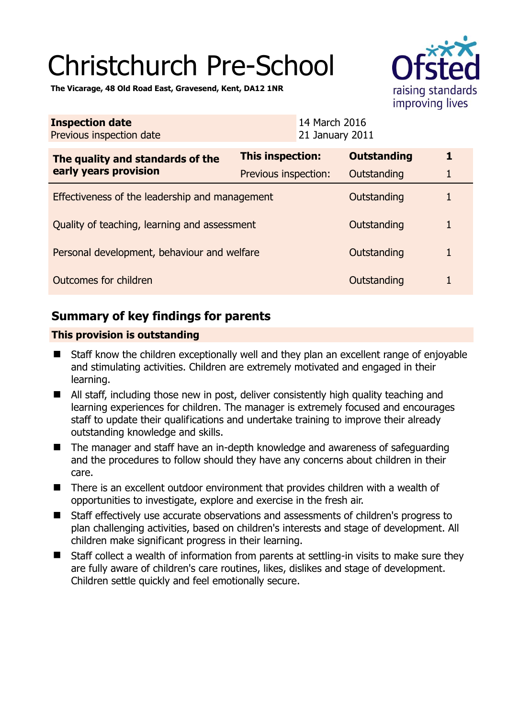# Christchurch Pre-School



**The Vicarage, 48 Old Road East, Gravesend, Kent, DA12 1NR** 

| <b>Inspection date</b><br>Previous inspection date        | 14 March 2016<br>21 January 2011 |                    |   |
|-----------------------------------------------------------|----------------------------------|--------------------|---|
| The quality and standards of the<br>early years provision | <b>This inspection:</b>          | <b>Outstanding</b> | 1 |
|                                                           | Previous inspection:             | Outstanding        | 1 |
| Effectiveness of the leadership and management            |                                  | Outstanding        | 1 |
| Quality of teaching, learning and assessment              |                                  | Outstanding        | 1 |
| Personal development, behaviour and welfare               |                                  | Outstanding        | 1 |
| Outcomes for children                                     |                                  | Outstanding        | 1 |

## **Summary of key findings for parents**

## **This provision is outstanding**

- Staff know the children exceptionally well and they plan an excellent range of enjoyable and stimulating activities. Children are extremely motivated and engaged in their learning.
- All staff, including those new in post, deliver consistently high quality teaching and learning experiences for children. The manager is extremely focused and encourages staff to update their qualifications and undertake training to improve their already outstanding knowledge and skills.
- The manager and staff have an in-depth knowledge and awareness of safeguarding and the procedures to follow should they have any concerns about children in their care.
- There is an excellent outdoor environment that provides children with a wealth of opportunities to investigate, explore and exercise in the fresh air.
- Staff effectively use accurate observations and assessments of children's progress to plan challenging activities, based on children's interests and stage of development. All children make significant progress in their learning.
- Staff collect a wealth of information from parents at settling-in visits to make sure they are fully aware of children's care routines, likes, dislikes and stage of development. Children settle quickly and feel emotionally secure.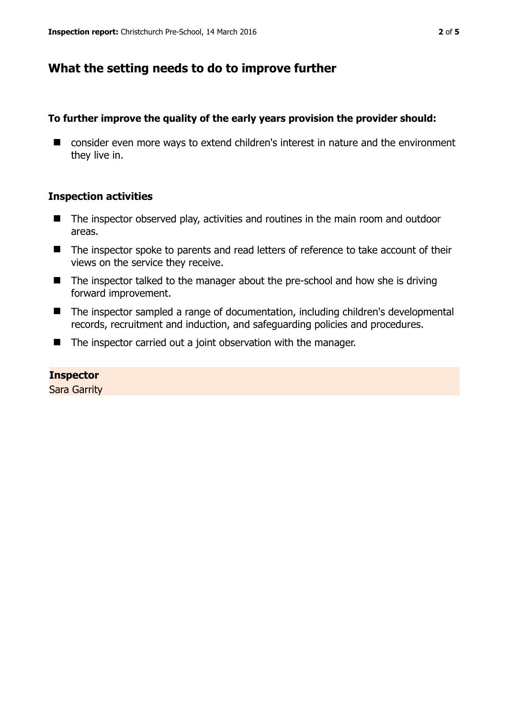## **What the setting needs to do to improve further**

## **To further improve the quality of the early years provision the provider should:**

■ consider even more ways to extend children's interest in nature and the environment they live in.

## **Inspection activities**

- The inspector observed play, activities and routines in the main room and outdoor areas.
- The inspector spoke to parents and read letters of reference to take account of their views on the service they receive.
- The inspector talked to the manager about the pre-school and how she is driving forward improvement.
- The inspector sampled a range of documentation, including children's developmental records, recruitment and induction, and safeguarding policies and procedures.
- The inspector carried out a joint observation with the manager.

#### **Inspector**

Sara Garrity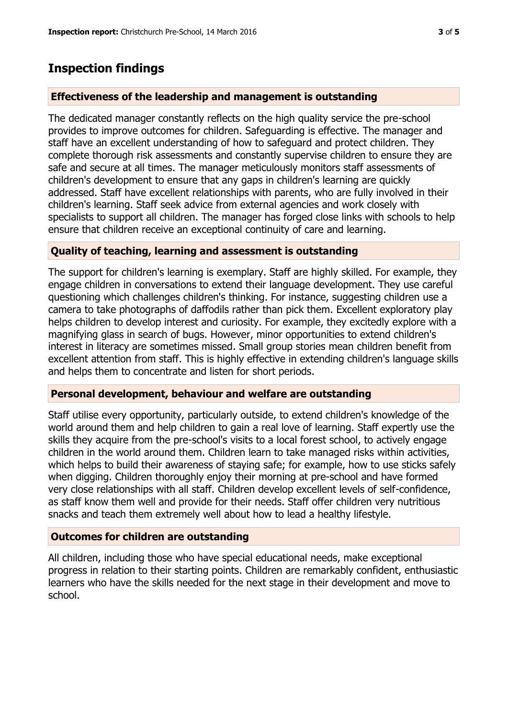# **Inspection findings**

## **Effectiveness of the leadership and management is outstanding**

The dedicated manager constantly reflects on the high quality service the pre-school provides to improve outcomes for children. Safeguarding is effective. The manager and staff have an excellent understanding of how to safeguard and protect children. They complete thorough risk assessments and constantly supervise children to ensure they are safe and secure at all times. The manager meticulously monitors staff assessments of children's development to ensure that any gaps in children's learning are quickly addressed. Staff have excellent relationships with parents, who are fully involved in their children's learning. Staff seek advice from external agencies and work closely with specialists to support all children. The manager has forged close links with schools to help ensure that children receive an exceptional continuity of care and learning.

## **Quality of teaching, learning and assessment is outstanding**

The support for children's learning is exemplary. Staff are highly skilled. For example, they engage children in conversations to extend their language development. They use careful questioning which challenges children's thinking. For instance, suggesting children use a camera to take photographs of daffodils rather than pick them. Excellent exploratory play helps children to develop interest and curiosity. For example, they excitedly explore with a magnifying glass in search of bugs. However, minor opportunities to extend children's interest in literacy are sometimes missed. Small group stories mean children benefit from excellent attention from staff. This is highly effective in extending children's language skills and helps them to concentrate and listen for short periods.

## **Personal development, behaviour and welfare are outstanding**

Staff utilise every opportunity, particularly outside, to extend children's knowledge of the world around them and help children to gain a real love of learning. Staff expertly use the skills they acquire from the pre-school's visits to a local forest school, to actively engage children in the world around them. Children learn to take managed risks within activities, which helps to build their awareness of staying safe; for example, how to use sticks safely when digging. Children thoroughly enjoy their morning at pre-school and have formed very close relationships with all staff. Children develop excellent levels of self-confidence, as staff know them well and provide for their needs. Staff offer children very nutritious snacks and teach them extremely well about how to lead a healthy lifestyle.

## **Outcomes for children are outstanding**

All children, including those who have special educational needs, make exceptional progress in relation to their starting points. Children are remarkably confident, enthusiastic learners who have the skills needed for the next stage in their development and move to school.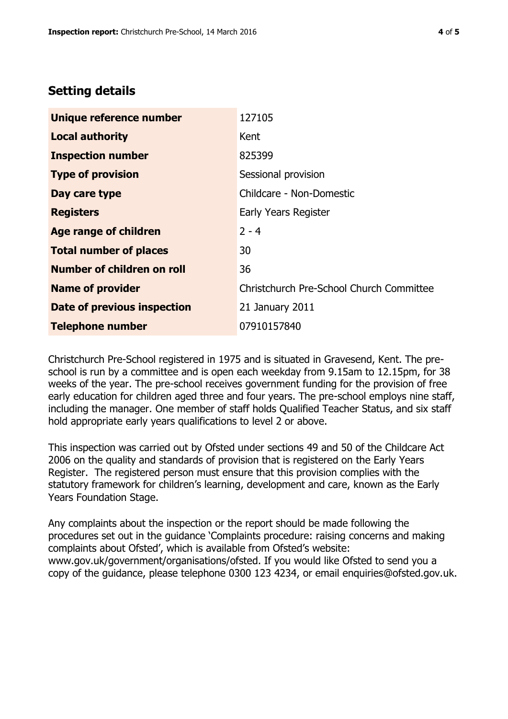## **Setting details**

| Unique reference number            | 127105                                   |  |
|------------------------------------|------------------------------------------|--|
| <b>Local authority</b>             | Kent                                     |  |
| <b>Inspection number</b>           | 825399                                   |  |
| <b>Type of provision</b>           | Sessional provision                      |  |
| Day care type                      | Childcare - Non-Domestic                 |  |
| <b>Registers</b>                   | Early Years Register                     |  |
| Age range of children              | $2 - 4$                                  |  |
| <b>Total number of places</b>      | 30                                       |  |
| Number of children on roll         | 36                                       |  |
| <b>Name of provider</b>            | Christchurch Pre-School Church Committee |  |
| <b>Date of previous inspection</b> | 21 January 2011                          |  |
| <b>Telephone number</b>            | 07910157840                              |  |

Christchurch Pre-School registered in 1975 and is situated in Gravesend, Kent. The preschool is run by a committee and is open each weekday from 9.15am to 12.15pm, for 38 weeks of the year. The pre-school receives government funding for the provision of free early education for children aged three and four years. The pre-school employs nine staff, including the manager. One member of staff holds Qualified Teacher Status, and six staff hold appropriate early years qualifications to level 2 or above.

This inspection was carried out by Ofsted under sections 49 and 50 of the Childcare Act 2006 on the quality and standards of provision that is registered on the Early Years Register. The registered person must ensure that this provision complies with the statutory framework for children's learning, development and care, known as the Early Years Foundation Stage.

Any complaints about the inspection or the report should be made following the procedures set out in the guidance 'Complaints procedure: raising concerns and making complaints about Ofsted', which is available from Ofsted's website: www.gov.uk/government/organisations/ofsted. If you would like Ofsted to send you a copy of the guidance, please telephone 0300 123 4234, or email enquiries@ofsted.gov.uk.